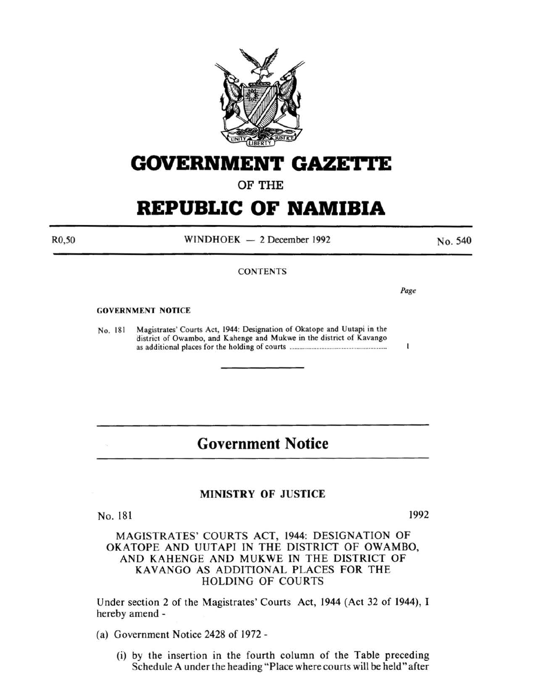

# **GOVERNMENT GAZE'ri'E**

### OF THE

## **REPUBLIC OF NAMIBIA**

R0,50

 $WINDHOEK - 2 December 1992$ 

No. 540

### **CONTENTS**

Page

1

#### GOVERNMENT NOTICE

No. 181 Magistrates' Courts Act, 1944: Designation of Okatope and Uutapi in the district of Owambo, and Kahenge and Mukwe in the district of Kavango as additional places for the holding of courts ......................................................... .

### **Government Notice**

#### MINISTRY OF JUSTICE

No. 181

1992

MAGISTRATES' COURTS ACT, 1944: DESIGNATION OF OKATOPE AND UUTAPI IN THE DISTRICT OF OWAMBO, AND KAHENGE AND MUKWE IN THE DISTRICT OF KAVANGO AS ADDITIONAL PLACES FOR THE HOLDING OF COURTS

Under section 2 of the Magistrates' Courts Act, 1944 (Act 32 of 1944), I hereby amend -

- (a) Government Notice 2428 of 1972-
	- (i) by the insertion in the fourth column of the Table preceding Schedule A under the heading "Place where courts will be held" after